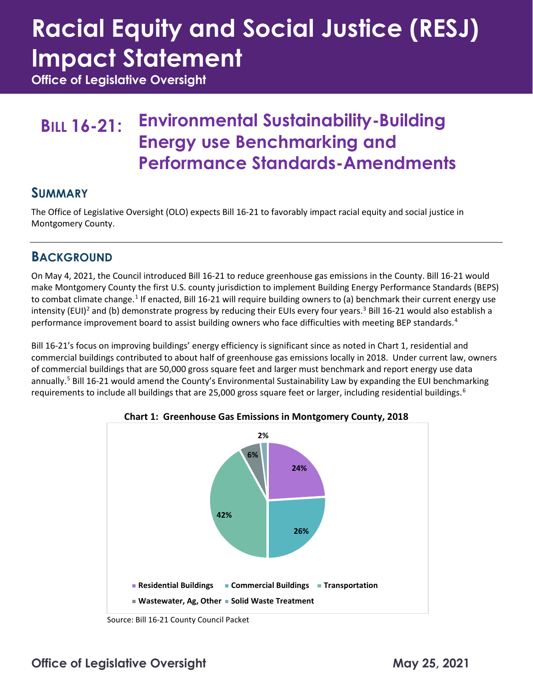# **Racial Equity and Social Justice (RESJ) Impact Statement**

**Office of Legislative Oversight**

### **BILL 16-21: Environmental Sustainability-Building Energy use Benchmarking and Performance Standards-Amendments**

#### **SUMMARY**

The Office of Legislative Oversight (OLO) expects Bill 16-21 to favorably impact racial equity and social justice in Montgomery County.

### **BACKGROUND**

On May 4, 2021, the Council introduced Bill 16-21 to reduce greenhouse gas emissions in the County. Bill 16-21 would make Montgomery County the first U.S. county jurisdiction to implement Building Energy Performance Standards (BEPS) to combat climate change.<sup>[1](#page-3-0)</sup> If enacted, Bill 16-21 will require building owners to (a) benchmark their current energy use intensity (EUI)<sup>[2](#page-3-1)</sup> and (b) demonstrate progress by reducing their EUIs every four years.<sup>[3](#page-3-2)</sup> Bill 16-21 would also establish a performance improvement board to assist building owners who face difficulties with meeting BEP standards.<sup>[4](#page-3-3)</sup>

Bill 16-21's focus on improving buildings' energy efficiency is significant since as noted in Chart 1, residential and commercial buildings contributed to about half of greenhouse gas emissions locally in 2018. Under current law, owners of commercial buildings that are 50,000 gross square feet and larger must benchmark and report energy use data annually.<sup>[5](#page-3-4)</sup> Bill 16-21 would amend the County's Environmental Sustainability Law by expanding the EUI benchmarking requirements to include all buildings that are 25,000 gross square feet or larger, including residential buildings.<sup>[6](#page-3-5)</sup>



**Chart 1: Greenhouse Gas Emissions in Montgomery County, 2018**

Source: Bill 16-21 County Council Packet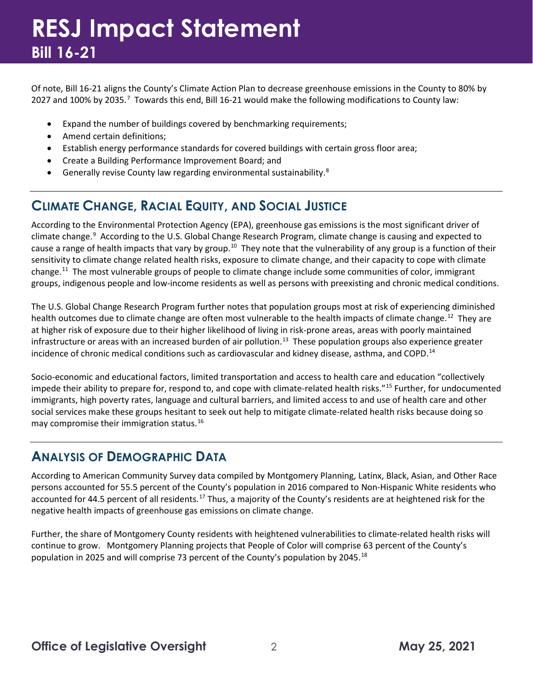### **RESJ Impact Statement Bill 16-21**

Of note, Bill 16-21 aligns the County's Climate Action Plan to decrease greenhouse emissions in the County to 80% by 202[7](#page-3-6) and 100% by 2035.<sup>7</sup> Towards this end, Bill 16-21 would make the following modifications to County law:

- Expand the number of buildings covered by benchmarking requirements;
- Amend certain definitions;
- Establish energy performance standards for covered buildings with certain gross floor area;
- Create a Building Performance Improvement Board; and
- Generally revise County law regarding environmental sustainability.[8](#page-3-7)

### **CLIMATE CHANGE, RACIAL EQUITY, AND SOCIAL JUSTICE**

According to the Environmental Protection Agency (EPA), greenhouse gas emissions is the most significant driver of climate change.<sup>[9](#page-3-8)</sup> According to the U.S. Global Change Research Program, climate change is causing and expected to cause a range of health impacts that vary by group.<sup>[10](#page-3-9)</sup> They note that the vulnerability of any group is a function of their sensitivity to climate change related health risks, exposure to climate change, and their capacity to cope with climate change.[11](#page-3-10) The most vulnerable groups of people to climate change include some communities of color, immigrant groups, indigenous people and low-income residents as well as persons with preexisting and chronic medical conditions.

The U.S. Global Change Research Program further notes that population groups most at risk of experiencing diminished health outcomes due to climate change are often most vulnerable to the health impacts of climate change.<sup>[12](#page-3-11)</sup> They are at higher risk of exposure due to their higher likelihood of living in risk-prone areas, areas with poorly maintained infrastructure or areas with an increased burden of air pollution.<sup>13</sup> These population groups also experience greater incidence of chronic medical conditions such as cardiovascular and kidney disease, asthma, and COPD.<sup>[14](#page-3-13)</sup>

Socio-economic and educational factors, limited transportation and access to health care and education "collectively impede their ability to prepare for, respond to, and cope with climate-related health risks."[15](#page-3-14) Further, for undocumented immigrants, high poverty rates, language and cultural barriers, and limited access to and use of health care and other social services make these groups hesitant to seek out help to mitigate climate-related health risks because doing so may compromise their immigration status.[16](#page-3-15)

### **ANALYSIS OF DEMOGRAPHIC DATA**

According to American Community Survey data compiled by Montgomery Planning, Latinx, Black, Asian, and Other Race persons accounted for 55.5 percent of the County's population in 2016 compared to Non-Hispanic White residents who accounted for 44.5 percent of all residents.<sup>[17](#page-3-16)</sup> Thus, a majority of the County's residents are at heightened risk for the negative health impacts of greenhouse gas emissions on climate change.

Further, the share of Montgomery County residents with heightened vulnerabilities to climate-related health risks will continue to grow. Montgomery Planning projects that People of Color will comprise 63 percent of the County's population in 2025 and will comprise 73 percent of the County's population by 2045.[18](#page-3-17)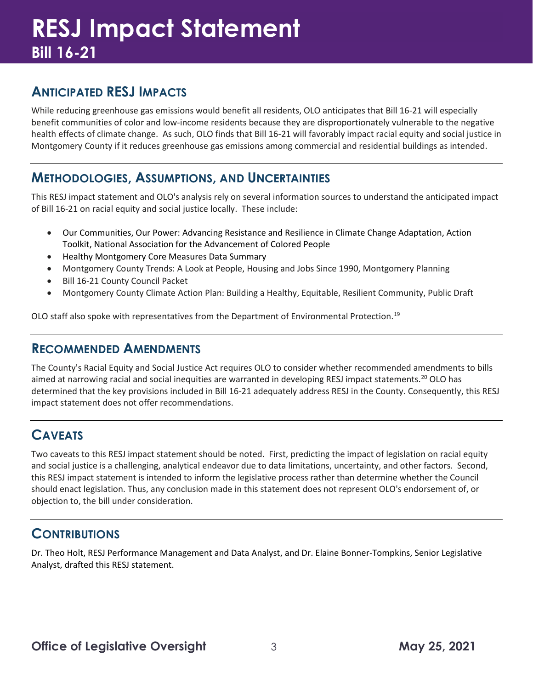## **RESJ Impact Statement Bill 16-21**

### **ANTICIPATED RESJ IMPACTS**

While reducing greenhouse gas emissions would benefit all residents, OLO anticipates that Bill 16-21 will especially benefit communities of color and low-income residents because they are disproportionately vulnerable to the negative health effects of climate change. As such, OLO finds that Bill 16-21 will favorably impact racial equity and social justice in Montgomery County if it reduces greenhouse gas emissions among commercial and residential buildings as intended.

### **METHODOLOGIES, ASSUMPTIONS, AND UNCERTAINTIES**

This RESJ impact statement and OLO's analysis rely on several information sources to understand the anticipated impact of Bill 16-21 on racial equity and social justice locally. These include:

- Our Communities, Our Power: Advancing Resistance and Resilience in Climate Change Adaptation, Action Toolkit, National Association for the Advancement of Colored People
- Healthy Montgomery Core Measures Data Summary
- Montgomery County Trends: A Look at People, Housing and Jobs Since 1990, Montgomery Planning
- Bill 16-21 County Council Packet
- Montgomery County Climate Action Plan: Building a Healthy, Equitable, Resilient Community, Public Draft

OLO staff also spoke with representatives from the Department of Environmental Protection.<sup>[19](#page-3-18)</sup>

#### **RECOMMENDED AMENDMENTS**

The County's Racial Equity and Social Justice Act requires OLO to consider whether recommended amendments to bills aimed at narrowing racial and social inequities are warranted in developing RESJ impact statements.<sup>[20](#page-3-19)</sup> OLO has determined that the key provisions included in Bill 16-21 adequately address RESJ in the County. Consequently, this RESJ impact statement does not offer recommendations.

### **CAVEATS**

Two caveats to this RESJ impact statement should be noted. First, predicting the impact of legislation on racial equity and social justice is a challenging, analytical endeavor due to data limitations, uncertainty, and other factors. Second, this RESJ impact statement is intended to inform the legislative process rather than determine whether the Council should enact legislation. Thus, any conclusion made in this statement does not represent OLO's endorsement of, or objection to, the bill under consideration.

### **CONTRIBUTIONS**

Dr. Theo Holt, RESJ Performance Management and Data Analyst, and Dr. Elaine Bonner-Tompkins, Senior Legislative Analyst, drafted this RESJ statement.